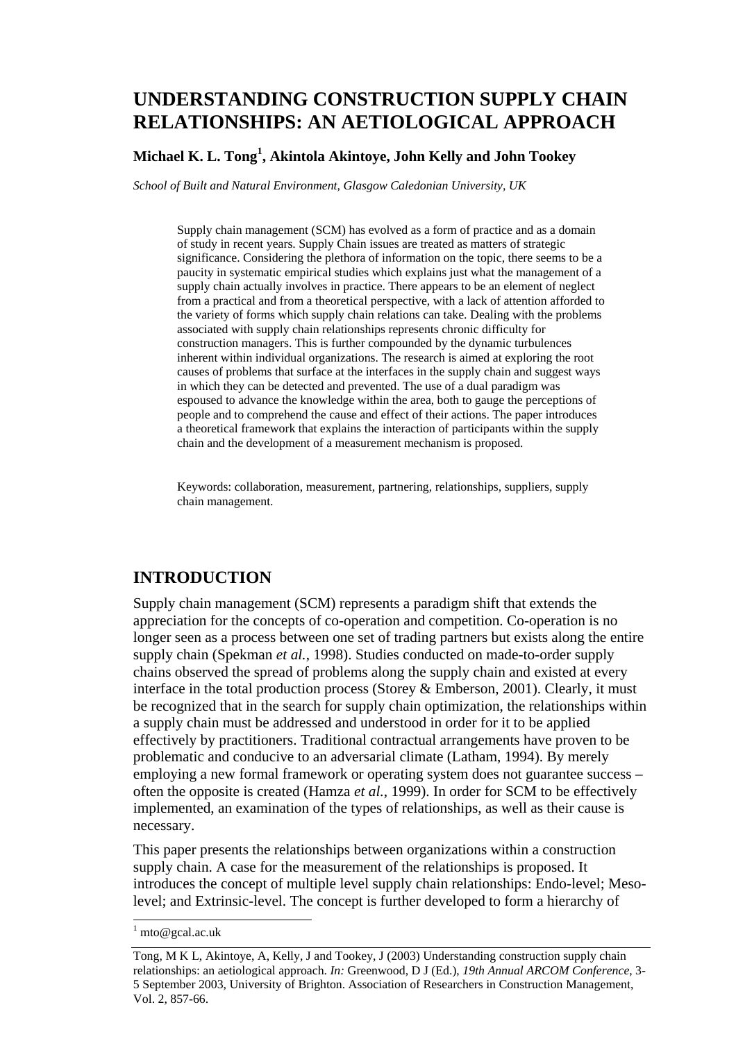# **UNDERSTANDING CONSTRUCTION SUPPLY CHAIN RELATIONSHIPS: AN AETIOLOGICAL APPROACH**

### **Michael K. L. Tong<sup>1</sup> , Akintola Akintoye, John Kelly and John Tookey**

*School of Built and Natural Environment, Glasgow Caledonian University, UK* 

Supply chain management (SCM) has evolved as a form of practice and as a domain of study in recent years. Supply Chain issues are treated as matters of strategic significance. Considering the plethora of information on the topic, there seems to be a paucity in systematic empirical studies which explains just what the management of a supply chain actually involves in practice. There appears to be an element of neglect from a practical and from a theoretical perspective, with a lack of attention afforded to the variety of forms which supply chain relations can take. Dealing with the problems associated with supply chain relationships represents chronic difficulty for construction managers. This is further compounded by the dynamic turbulences inherent within individual organizations. The research is aimed at exploring the root causes of problems that surface at the interfaces in the supply chain and suggest ways in which they can be detected and prevented. The use of a dual paradigm was espoused to advance the knowledge within the area, both to gauge the perceptions of people and to comprehend the cause and effect of their actions. The paper introduces a theoretical framework that explains the interaction of participants within the supply chain and the development of a measurement mechanism is proposed.

Keywords: collaboration, measurement, partnering, relationships, suppliers, supply chain management.

### **INTRODUCTION**

Supply chain management (SCM) represents a paradigm shift that extends the appreciation for the concepts of co-operation and competition. Co-operation is no longer seen as a process between one set of trading partners but exists along the entire supply chain (Spekman *et al.*, 1998). Studies conducted on made-to-order supply chains observed the spread of problems along the supply chain and existed at every interface in the total production process (Storey & Emberson, 2001). Clearly, it must be recognized that in the search for supply chain optimization, the relationships within a supply chain must be addressed and understood in order for it to be applied effectively by practitioners. Traditional contractual arrangements have proven to be problematic and conducive to an adversarial climate (Latham, 1994). By merely employing a new formal framework or operating system does not guarantee success – often the opposite is created (Hamza *et al.*, 1999). In order for SCM to be effectively implemented, an examination of the types of relationships, as well as their cause is necessary.

This paper presents the relationships between organizations within a construction supply chain. A case for the measurement of the relationships is proposed. It introduces the concept of multiple level supply chain relationships: Endo-level; Mesolevel; and Extrinsic-level. The concept is further developed to form a hierarchy of

l

 $1$  mto@gcal.ac.uk

Tong, M K L, Akintoye, A, Kelly, J and Tookey, J (2003) Understanding construction supply chain relationships: an aetiological approach. *In:* Greenwood, D J (Ed.), *19th Annual ARCOM Conference*, 3- 5 September 2003, University of Brighton. Association of Researchers in Construction Management, Vol. 2, 857-66.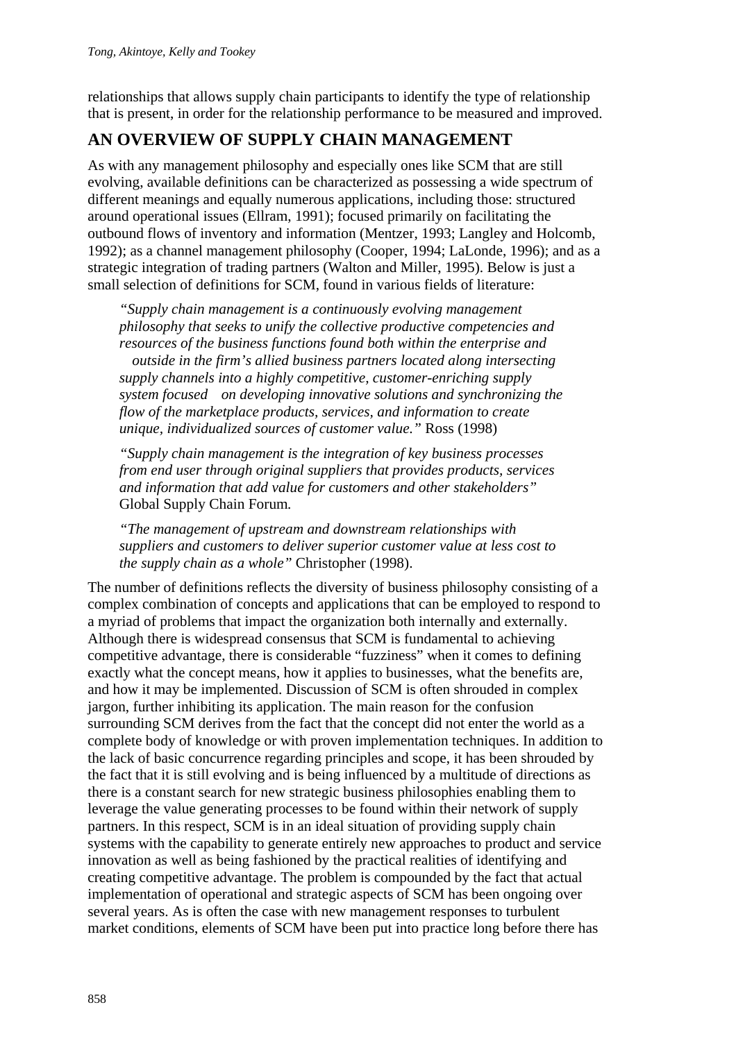relationships that allows supply chain participants to identify the type of relationship that is present, in order for the relationship performance to be measured and improved.

## **AN OVERVIEW OF SUPPLY CHAIN MANAGEMENT**

As with any management philosophy and especially ones like SCM that are still evolving, available definitions can be characterized as possessing a wide spectrum of different meanings and equally numerous applications, including those: structured around operational issues (Ellram, 1991); focused primarily on facilitating the outbound flows of inventory and information (Mentzer, 1993; Langley and Holcomb, 1992); as a channel management philosophy (Cooper, 1994; LaLonde, 1996); and as a strategic integration of trading partners (Walton and Miller, 1995). Below is just a small selection of definitions for SCM, found in various fields of literature:

*"Supply chain management is a continuously evolving management philosophy that seeks to unify the collective productive competencies and resources of the business functions found both within the enterprise and outside in the firm's allied business partners located along intersecting supply channels into a highly competitive, customer-enriching supply system focused on developing innovative solutions and synchronizing the flow of the marketplace products, services, and information to create unique, individualized sources of customer value."* Ross (1998)

*"Supply chain management is the integration of key business processes from end user through original suppliers that provides products, services and information that add value for customers and other stakeholders"*  Global Supply Chain Forum*.* 

*"The management of upstream and downstream relationships with suppliers and customers to deliver superior customer value at less cost to the supply chain as a whole"* Christopher (1998).

The number of definitions reflects the diversity of business philosophy consisting of a complex combination of concepts and applications that can be employed to respond to a myriad of problems that impact the organization both internally and externally. Although there is widespread consensus that SCM is fundamental to achieving competitive advantage, there is considerable "fuzziness" when it comes to defining exactly what the concept means, how it applies to businesses, what the benefits are, and how it may be implemented. Discussion of SCM is often shrouded in complex jargon, further inhibiting its application. The main reason for the confusion surrounding SCM derives from the fact that the concept did not enter the world as a complete body of knowledge or with proven implementation techniques. In addition to the lack of basic concurrence regarding principles and scope, it has been shrouded by the fact that it is still evolving and is being influenced by a multitude of directions as there is a constant search for new strategic business philosophies enabling them to leverage the value generating processes to be found within their network of supply partners. In this respect, SCM is in an ideal situation of providing supply chain systems with the capability to generate entirely new approaches to product and service innovation as well as being fashioned by the practical realities of identifying and creating competitive advantage. The problem is compounded by the fact that actual implementation of operational and strategic aspects of SCM has been ongoing over several years. As is often the case with new management responses to turbulent market conditions, elements of SCM have been put into practice long before there has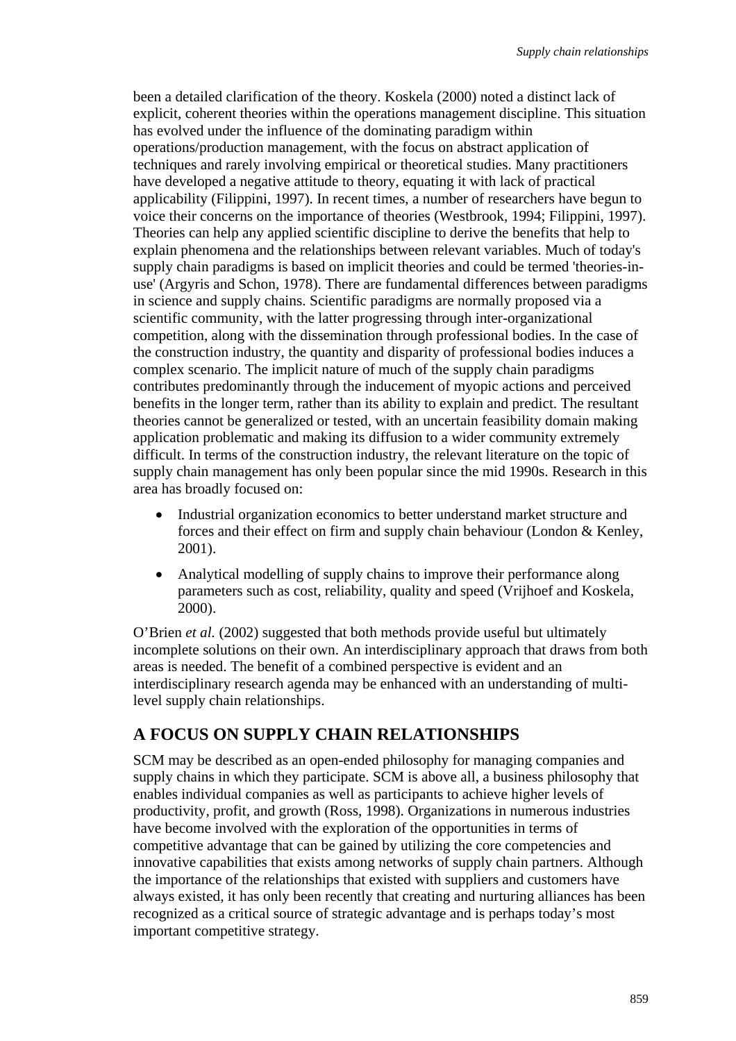been a detailed clarification of the theory. Koskela (2000) noted a distinct lack of explicit, coherent theories within the operations management discipline. This situation has evolved under the influence of the dominating paradigm within operations/production management, with the focus on abstract application of techniques and rarely involving empirical or theoretical studies. Many practitioners have developed a negative attitude to theory, equating it with lack of practical applicability (Filippini, 1997). In recent times, a number of researchers have begun to voice their concerns on the importance of theories (Westbrook, 1994; Filippini, 1997). Theories can help any applied scientific discipline to derive the benefits that help to explain phenomena and the relationships between relevant variables. Much of today's supply chain paradigms is based on implicit theories and could be termed 'theories-inuse' (Argyris and Schon, 1978). There are fundamental differences between paradigms in science and supply chains. Scientific paradigms are normally proposed via a scientific community, with the latter progressing through inter-organizational competition, along with the dissemination through professional bodies. In the case of the construction industry, the quantity and disparity of professional bodies induces a complex scenario. The implicit nature of much of the supply chain paradigms contributes predominantly through the inducement of myopic actions and perceived benefits in the longer term, rather than its ability to explain and predict. The resultant theories cannot be generalized or tested, with an uncertain feasibility domain making application problematic and making its diffusion to a wider community extremely difficult. In terms of the construction industry, the relevant literature on the topic of supply chain management has only been popular since the mid 1990s. Research in this area has broadly focused on:

- Industrial organization economics to better understand market structure and forces and their effect on firm and supply chain behaviour (London & Kenley, 2001).
- Analytical modelling of supply chains to improve their performance along parameters such as cost, reliability, quality and speed (Vrijhoef and Koskela, 2000).

O'Brien *et al.* (2002) suggested that both methods provide useful but ultimately incomplete solutions on their own. An interdisciplinary approach that draws from both areas is needed. The benefit of a combined perspective is evident and an interdisciplinary research agenda may be enhanced with an understanding of multilevel supply chain relationships.

## **A FOCUS ON SUPPLY CHAIN RELATIONSHIPS**

SCM may be described as an open-ended philosophy for managing companies and supply chains in which they participate. SCM is above all, a business philosophy that enables individual companies as well as participants to achieve higher levels of productivity, profit, and growth (Ross, 1998). Organizations in numerous industries have become involved with the exploration of the opportunities in terms of competitive advantage that can be gained by utilizing the core competencies and innovative capabilities that exists among networks of supply chain partners. Although the importance of the relationships that existed with suppliers and customers have always existed, it has only been recently that creating and nurturing alliances has been recognized as a critical source of strategic advantage and is perhaps today's most important competitive strategy.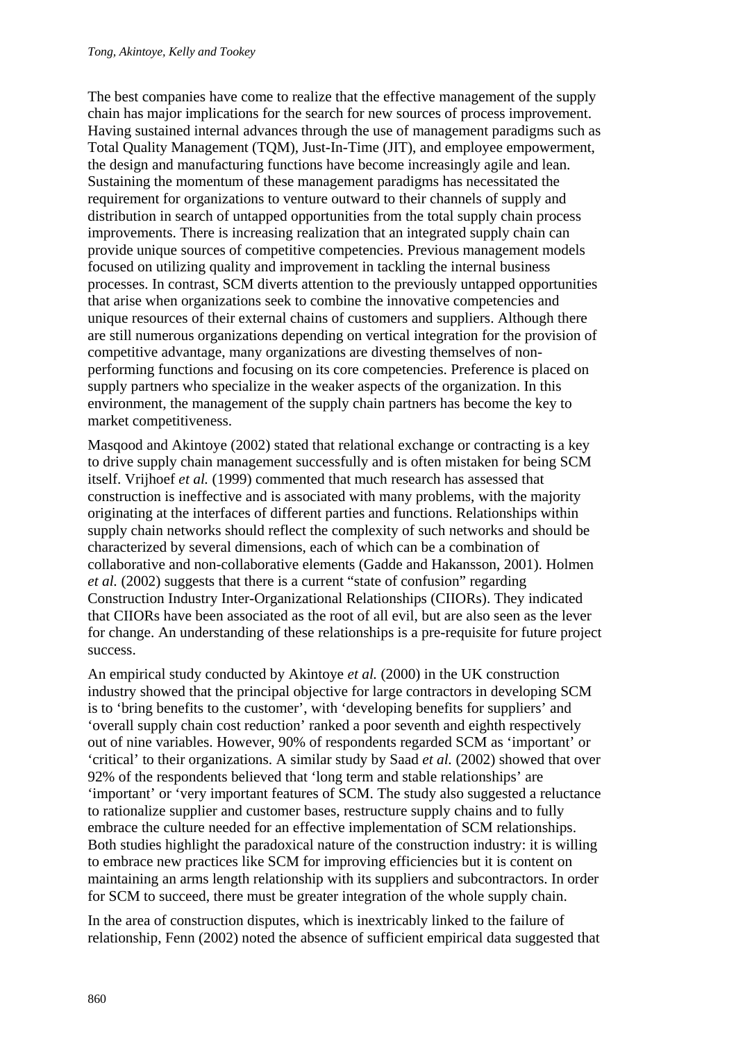The best companies have come to realize that the effective management of the supply chain has major implications for the search for new sources of process improvement. Having sustained internal advances through the use of management paradigms such as Total Quality Management (TQM), Just-In-Time (JIT), and employee empowerment, the design and manufacturing functions have become increasingly agile and lean. Sustaining the momentum of these management paradigms has necessitated the requirement for organizations to venture outward to their channels of supply and distribution in search of untapped opportunities from the total supply chain process improvements. There is increasing realization that an integrated supply chain can provide unique sources of competitive competencies. Previous management models focused on utilizing quality and improvement in tackling the internal business processes. In contrast, SCM diverts attention to the previously untapped opportunities that arise when organizations seek to combine the innovative competencies and unique resources of their external chains of customers and suppliers. Although there are still numerous organizations depending on vertical integration for the provision of competitive advantage, many organizations are divesting themselves of nonperforming functions and focusing on its core competencies. Preference is placed on supply partners who specialize in the weaker aspects of the organization. In this environment, the management of the supply chain partners has become the key to market competitiveness.

Masqood and Akintoye (2002) stated that relational exchange or contracting is a key to drive supply chain management successfully and is often mistaken for being SCM itself. Vrijhoef *et al.* (1999) commented that much research has assessed that construction is ineffective and is associated with many problems, with the majority originating at the interfaces of different parties and functions. Relationships within supply chain networks should reflect the complexity of such networks and should be characterized by several dimensions, each of which can be a combination of collaborative and non-collaborative elements (Gadde and Hakansson, 2001). Holmen *et al.* (2002) suggests that there is a current "state of confusion" regarding Construction Industry Inter-Organizational Relationships (CIIORs). They indicated that CIIORs have been associated as the root of all evil, but are also seen as the lever for change. An understanding of these relationships is a pre-requisite for future project success.

An empirical study conducted by Akintoye *et al.* (2000) in the UK construction industry showed that the principal objective for large contractors in developing SCM is to 'bring benefits to the customer', with 'developing benefits for suppliers' and 'overall supply chain cost reduction' ranked a poor seventh and eighth respectively out of nine variables. However, 90% of respondents regarded SCM as 'important' or 'critical' to their organizations. A similar study by Saad *et al.* (2002) showed that over 92% of the respondents believed that 'long term and stable relationships' are 'important' or 'very important features of SCM. The study also suggested a reluctance to rationalize supplier and customer bases, restructure supply chains and to fully embrace the culture needed for an effective implementation of SCM relationships. Both studies highlight the paradoxical nature of the construction industry: it is willing to embrace new practices like SCM for improving efficiencies but it is content on maintaining an arms length relationship with its suppliers and subcontractors. In order for SCM to succeed, there must be greater integration of the whole supply chain.

In the area of construction disputes, which is inextricably linked to the failure of relationship, Fenn (2002) noted the absence of sufficient empirical data suggested that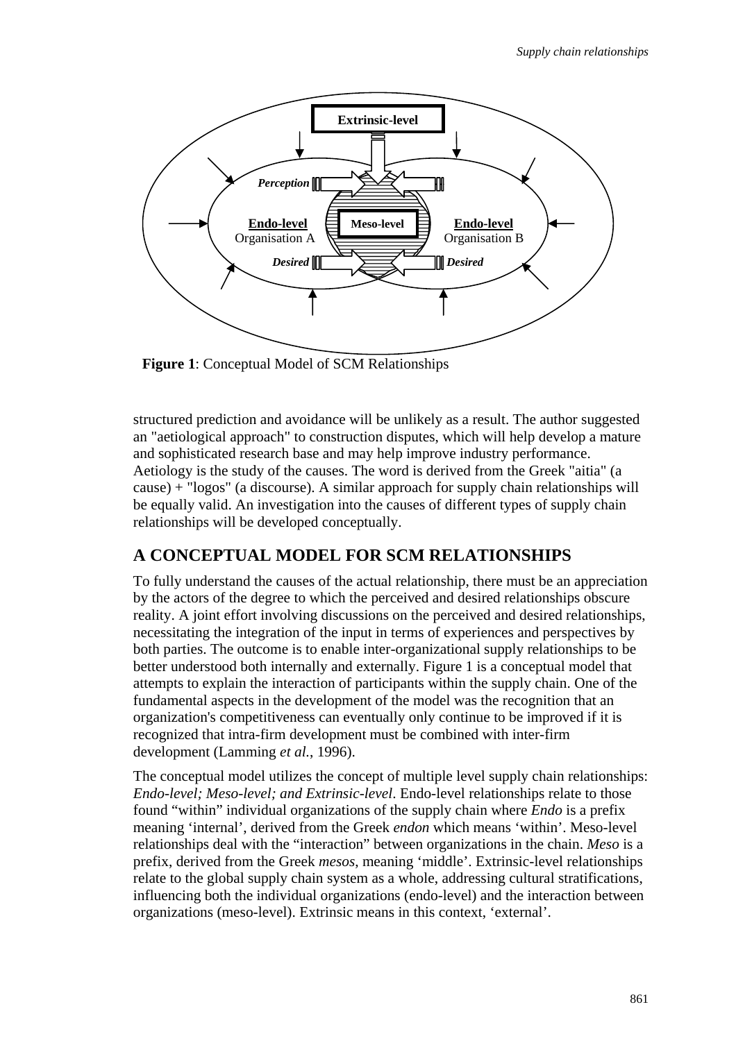

**Figure 1**: Conceptual Model of SCM Relationships

structured prediction and avoidance will be unlikely as a result. The author suggested an "aetiological approach" to construction disputes, which will help develop a mature and sophisticated research base and may help improve industry performance. Aetiology is the study of the causes. The word is derived from the Greek "aitia" (a cause) + "logos" (a discourse). A similar approach for supply chain relationships will be equally valid. An investigation into the causes of different types of supply chain relationships will be developed conceptually.

### **A CONCEPTUAL MODEL FOR SCM RELATIONSHIPS**

To fully understand the causes of the actual relationship, there must be an appreciation by the actors of the degree to which the perceived and desired relationships obscure reality. A joint effort involving discussions on the perceived and desired relationships, necessitating the integration of the input in terms of experiences and perspectives by both parties. The outcome is to enable inter-organizational supply relationships to be better understood both internally and externally. Figure 1 is a conceptual model that attempts to explain the interaction of participants within the supply chain. One of the fundamental aspects in the development of the model was the recognition that an organization's competitiveness can eventually only continue to be improved if it is recognized that intra-firm development must be combined with inter-firm development (Lamming *et al.*, 1996).

The conceptual model utilizes the concept of multiple level supply chain relationships: *Endo-level; Meso-level; and Extrinsic-level*. Endo-level relationships relate to those found "within" individual organizations of the supply chain where *Endo* is a prefix meaning 'internal', derived from the Greek *endon* which means 'within'. Meso-level relationships deal with the "interaction" between organizations in the chain. *Meso* is a prefix, derived from the Greek *mesos*, meaning 'middle'. Extrinsic-level relationships relate to the global supply chain system as a whole, addressing cultural stratifications, influencing both the individual organizations (endo-level) and the interaction between organizations (meso-level). Extrinsic means in this context, 'external'.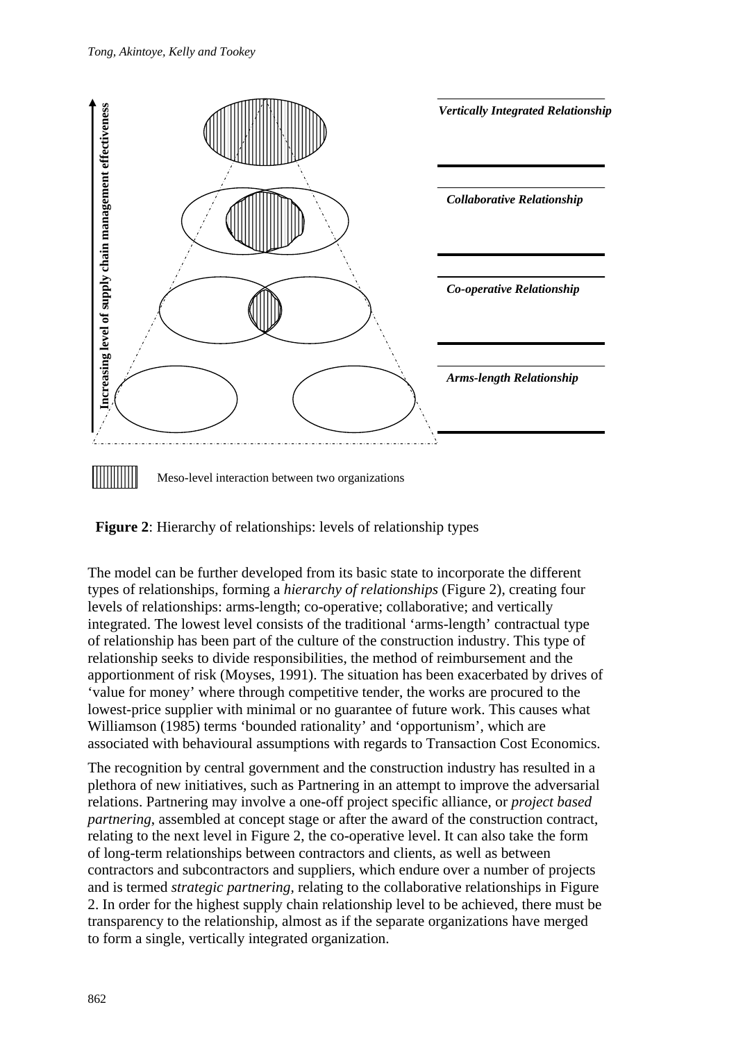



The model can be further developed from its basic state to incorporate the different types of relationships, forming a *hierarchy of relationships* (Figure 2), creating four levels of relationships: arms-length; co-operative; collaborative; and vertically integrated. The lowest level consists of the traditional 'arms-length' contractual type of relationship has been part of the culture of the construction industry. This type of relationship seeks to divide responsibilities, the method of reimbursement and the apportionment of risk (Moyses, 1991). The situation has been exacerbated by drives of 'value for money' where through competitive tender, the works are procured to the lowest-price supplier with minimal or no guarantee of future work. This causes what Williamson (1985) terms 'bounded rationality' and 'opportunism', which are associated with behavioural assumptions with regards to Transaction Cost Economics.

The recognition by central government and the construction industry has resulted in a plethora of new initiatives, such as Partnering in an attempt to improve the adversarial relations. Partnering may involve a one-off project specific alliance, or *project based partnering*, assembled at concept stage or after the award of the construction contract, relating to the next level in Figure 2, the co-operative level. It can also take the form of long-term relationships between contractors and clients, as well as between contractors and subcontractors and suppliers, which endure over a number of projects and is termed *strategic partnering,* relating to the collaborative relationships in Figure 2. In order for the highest supply chain relationship level to be achieved, there must be transparency to the relationship, almost as if the separate organizations have merged to form a single, vertically integrated organization.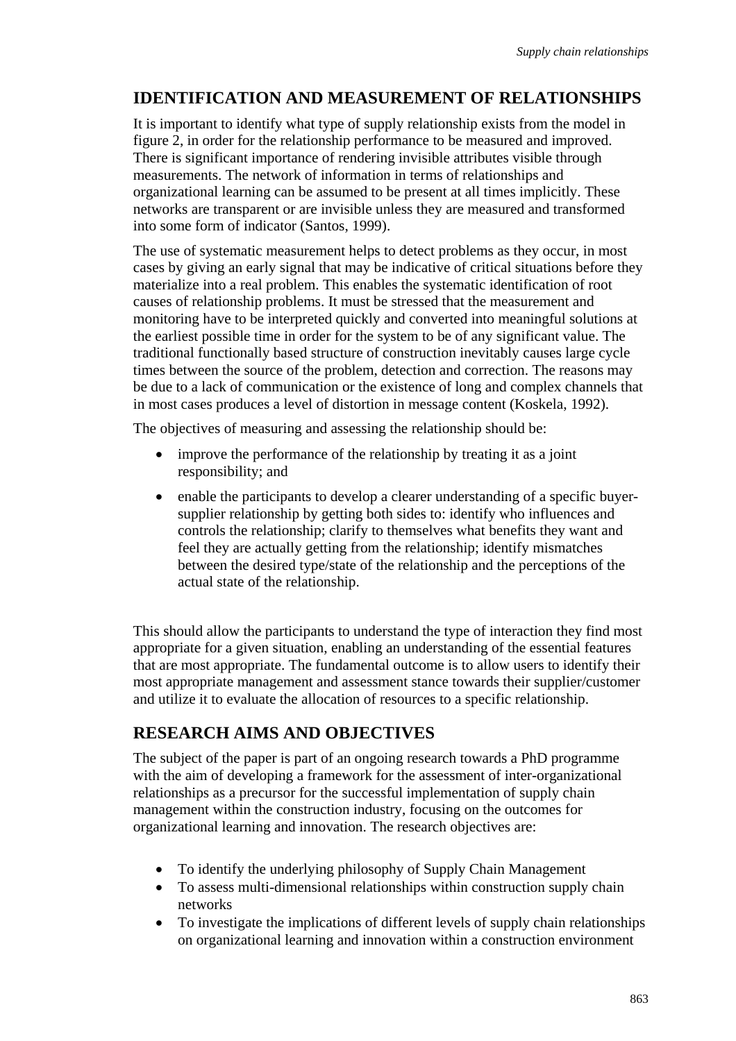## **IDENTIFICATION AND MEASUREMENT OF RELATIONSHIPS**

It is important to identify what type of supply relationship exists from the model in figure 2, in order for the relationship performance to be measured and improved. There is significant importance of rendering invisible attributes visible through measurements. The network of information in terms of relationships and organizational learning can be assumed to be present at all times implicitly. These networks are transparent or are invisible unless they are measured and transformed into some form of indicator (Santos, 1999).

The use of systematic measurement helps to detect problems as they occur, in most cases by giving an early signal that may be indicative of critical situations before they materialize into a real problem. This enables the systematic identification of root causes of relationship problems. It must be stressed that the measurement and monitoring have to be interpreted quickly and converted into meaningful solutions at the earliest possible time in order for the system to be of any significant value. The traditional functionally based structure of construction inevitably causes large cycle times between the source of the problem, detection and correction. The reasons may be due to a lack of communication or the existence of long and complex channels that in most cases produces a level of distortion in message content (Koskela, 1992).

The objectives of measuring and assessing the relationship should be:

- improve the performance of the relationship by treating it as a joint responsibility; and
- enable the participants to develop a clearer understanding of a specific buyersupplier relationship by getting both sides to: identify who influences and controls the relationship; clarify to themselves what benefits they want and feel they are actually getting from the relationship; identify mismatches between the desired type/state of the relationship and the perceptions of the actual state of the relationship.

This should allow the participants to understand the type of interaction they find most appropriate for a given situation, enabling an understanding of the essential features that are most appropriate. The fundamental outcome is to allow users to identify their most appropriate management and assessment stance towards their supplier/customer and utilize it to evaluate the allocation of resources to a specific relationship.

## **RESEARCH AIMS AND OBJECTIVES**

The subject of the paper is part of an ongoing research towards a PhD programme with the aim of developing a framework for the assessment of inter-organizational relationships as a precursor for the successful implementation of supply chain management within the construction industry, focusing on the outcomes for organizational learning and innovation. The research objectives are:

- To identify the underlying philosophy of Supply Chain Management
- To assess multi-dimensional relationships within construction supply chain networks
- To investigate the implications of different levels of supply chain relationships on organizational learning and innovation within a construction environment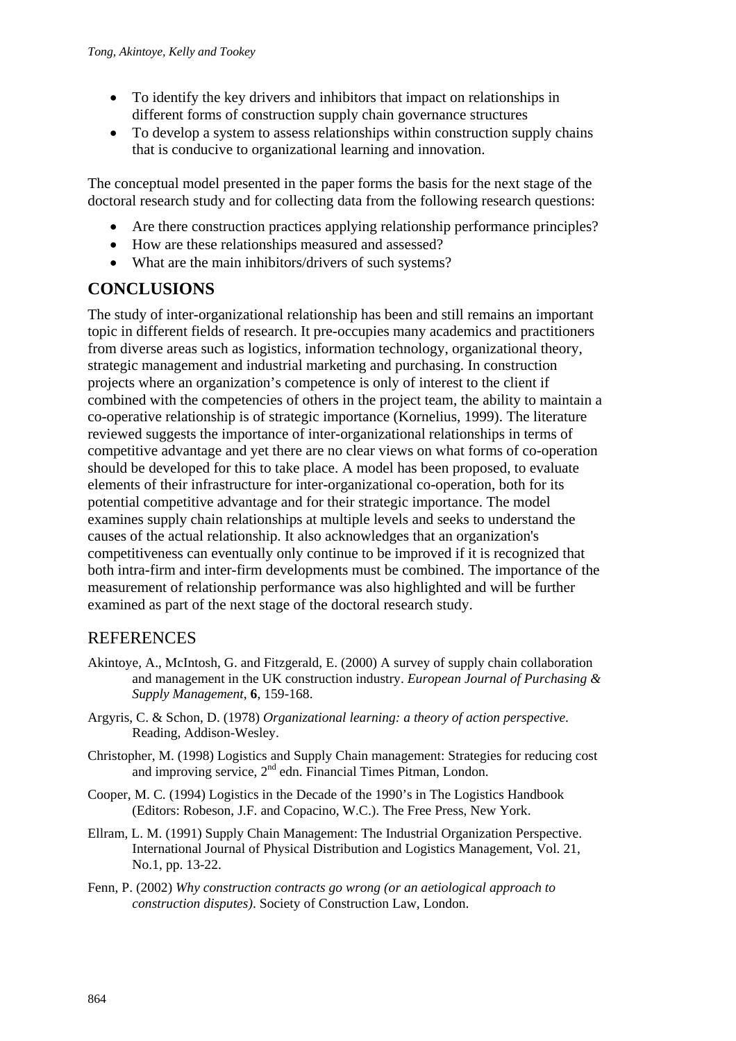- To identify the key drivers and inhibitors that impact on relationships in different forms of construction supply chain governance structures
- To develop a system to assess relationships within construction supply chains that is conducive to organizational learning and innovation.

The conceptual model presented in the paper forms the basis for the next stage of the doctoral research study and for collecting data from the following research questions:

- Are there construction practices applying relationship performance principles?
- How are these relationships measured and assessed?
- What are the main inhibitors/drivers of such systems?

### **CONCLUSIONS**

The study of inter-organizational relationship has been and still remains an important topic in different fields of research. It pre-occupies many academics and practitioners from diverse areas such as logistics, information technology, organizational theory, strategic management and industrial marketing and purchasing. In construction projects where an organization's competence is only of interest to the client if combined with the competencies of others in the project team, the ability to maintain a co-operative relationship is of strategic importance (Kornelius, 1999). The literature reviewed suggests the importance of inter-organizational relationships in terms of competitive advantage and yet there are no clear views on what forms of co-operation should be developed for this to take place. A model has been proposed, to evaluate elements of their infrastructure for inter-organizational co-operation, both for its potential competitive advantage and for their strategic importance. The model examines supply chain relationships at multiple levels and seeks to understand the causes of the actual relationship. It also acknowledges that an organization's competitiveness can eventually only continue to be improved if it is recognized that both intra-firm and inter-firm developments must be combined. The importance of the measurement of relationship performance was also highlighted and will be further examined as part of the next stage of the doctoral research study.

### **REFERENCES**

- Akintoye, A., McIntosh, G. and Fitzgerald, E. (2000) A survey of supply chain collaboration and management in the UK construction industry. *European Journal of Purchasing & Supply Management*, **6**, 159-168.
- Argyris, C. & Schon, D. (1978) *Organizational learning: a theory of action perspective*. Reading, Addison-Wesley.
- Christopher, M. (1998) Logistics and Supply Chain management: Strategies for reducing cost and improving service, 2<sup>nd</sup> edn. Financial Times Pitman, London.
- Cooper, M. C. (1994) Logistics in the Decade of the 1990's in The Logistics Handbook (Editors: Robeson, J.F. and Copacino, W.C.). The Free Press, New York.
- Ellram, L. M. (1991) Supply Chain Management: The Industrial Organization Perspective. International Journal of Physical Distribution and Logistics Management, Vol. 21, No.1, pp. 13-22.
- Fenn, P. (2002) *Why construction contracts go wrong (or an aetiological approach to construction disputes)*. Society of Construction Law, London.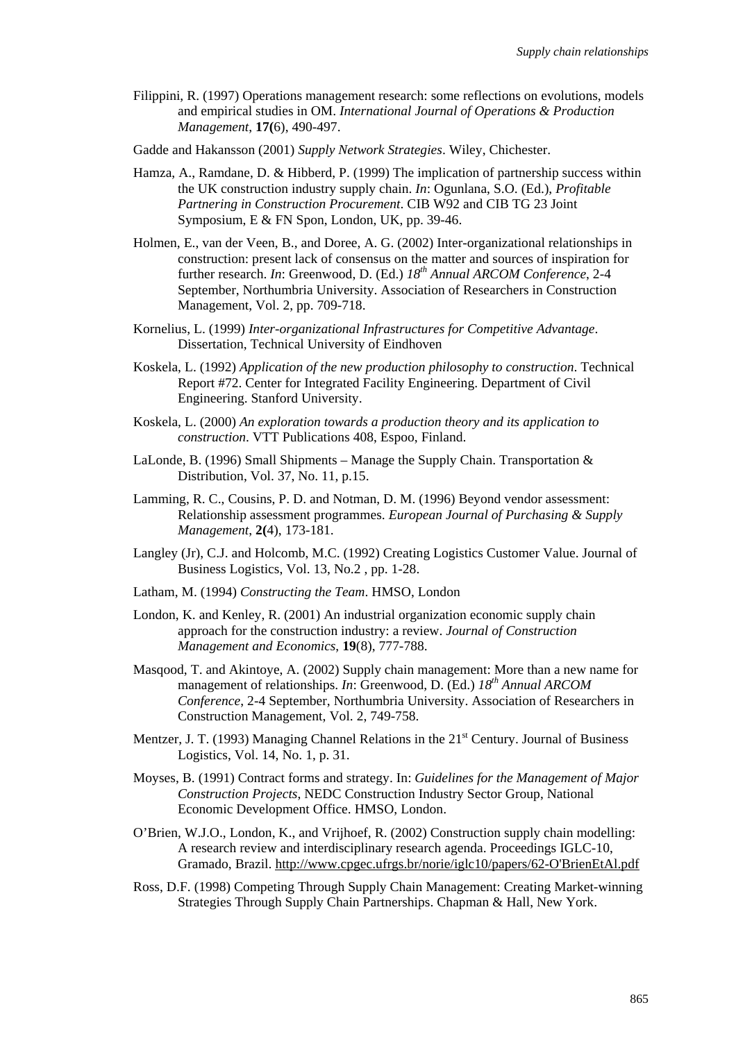- Filippini, R. (1997) Operations management research: some reflections on evolutions, models and empirical studies in OM. *International Journal of Operations & Production Management*, **17(**6), 490-497.
- Gadde and Hakansson (2001) *Supply Network Strategies*. Wiley, Chichester.
- Hamza, A., Ramdane, D. & Hibberd, P. (1999) The implication of partnership success within the UK construction industry supply chain. *In*: Ogunlana, S.O. (Ed.), *Profitable Partnering in Construction Procurement*. CIB W92 and CIB TG 23 Joint Symposium, E & FN Spon, London, UK, pp. 39-46.
- Holmen, E., van der Veen, B., and Doree, A. G. (2002) Inter-organizational relationships in construction: present lack of consensus on the matter and sources of inspiration for further research. *In*: Greenwood, D. (Ed.) *18th Annual ARCOM Conference*, 2-4 September, Northumbria University. Association of Researchers in Construction Management, Vol. 2, pp. 709-718.
- Kornelius, L. (1999) *Inter-organizational Infrastructures for Competitive Advantage*. Dissertation, Technical University of Eindhoven
- Koskela, L. (1992) *Application of the new production philosophy to construction*. Technical Report #72. Center for Integrated Facility Engineering. Department of Civil Engineering. Stanford University.
- Koskela, L. (2000) *An exploration towards a production theory and its application to construction*. VTT Publications 408, Espoo, Finland.
- LaLonde, B. (1996) Small Shipments Manage the Supply Chain. Transportation  $\&$ Distribution, Vol. 37, No. 11, p.15.
- Lamming, R. C., Cousins, P. D. and Notman, D. M. (1996) Beyond vendor assessment: Relationship assessment programmes. *European Journal of Purchasing & Supply Management*, **2(**4), 173-181.
- Langley (Jr), C.J. and Holcomb, M.C. (1992) Creating Logistics Customer Value. Journal of Business Logistics, Vol. 13, No.2 , pp. 1-28.
- Latham, M. (1994) *Constructing the Team*. HMSO, London
- London, K. and Kenley, R. (2001) An industrial organization economic supply chain approach for the construction industry: a review. *Journal of Construction Management and Economics*, **19**(8), 777-788.
- Masqood, T. and Akintoye, A. (2002) Supply chain management: More than a new name for management of relationships. *In*: Greenwood, D. (Ed.)  $18^{th}$  Annual ARCOM *Conference*, 2-4 September, Northumbria University. Association of Researchers in Construction Management, Vol. 2, 749-758.
- Mentzer, J. T. (1993) Managing Channel Relations in the  $21<sup>st</sup>$  Century. Journal of Business Logistics, Vol. 14, No. 1, p. 31.
- Moyses, B. (1991) Contract forms and strategy. In: *Guidelines for the Management of Major Construction Projects*, NEDC Construction Industry Sector Group, National Economic Development Office. HMSO, London.
- O'Brien, W.J.O., London, K., and Vrijhoef, R. (2002) Construction supply chain modelling: A research review and interdisciplinary research agenda. Proceedings IGLC-10, Gramado, Brazil. http://www.cpgec.ufrgs.br/norie/iglc10/papers/62-O'BrienEtAl.pdf
- Ross, D.F. (1998) Competing Through Supply Chain Management: Creating Market-winning Strategies Through Supply Chain Partnerships. Chapman & Hall, New York.